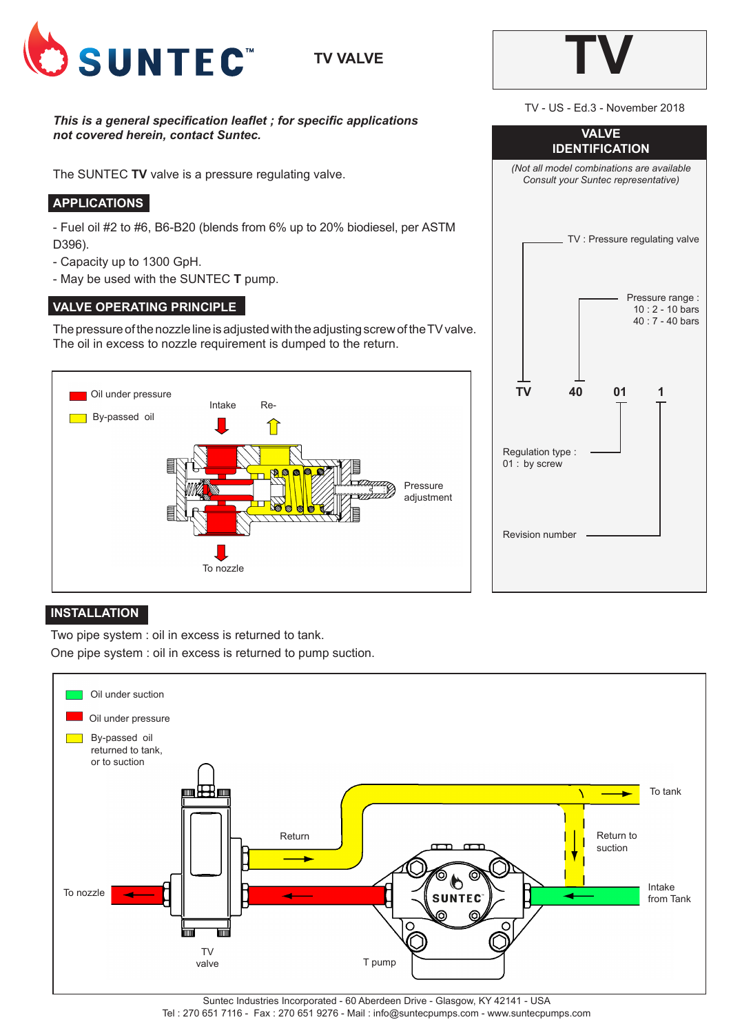

# **TV VALVE**

*This is a general specification leaflet ; for specific applications not covered herein, contact Suntec.*

The SUNTEC **TV** valve is a pressure regulating valve.

# **APPLICATIONS**

- Fuel oil #2 to #6, B6-B20 (blends from 6% up to 20% biodiesel, per ASTM D396).

- Capacity up to 1300 GpH.
- May be used with the SUNTEC **T** pump.

# **VALVE OPERATING PRINCIPLE**

The pressure of the nozzle line is adjusted with the adjusting screw of the TV valve. The oil in excess to nozzle requirement is dumped to the return.





#### **INSTALLATION**

Two pipe system : oil in excess is returned to tank.

One pipe system : oil in excess is returned to pump suction.



Suntec Industries Incorporated - 60 Aberdeen Drive - Glasgow, KY 42141 - USA Tel : 270 651 7116 - Fax : 270 651 9276 - Mail : info@suntecpumps.com - www.suntecpumps.com